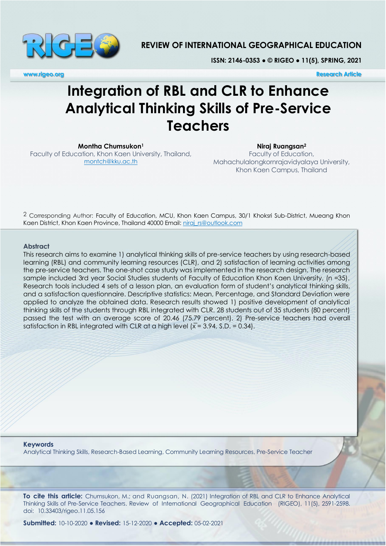

## **REVIEW OF INTERNATIONAL GEOGRAPHICAL EDUCATION**

**ISSN: 2146-0353 ● © RIGEO ● 11(5), SPRING, 2021**

**www.rigeo.org Research Article** 

# **Integration of RBL and CLR to Enhance Analytical Thinking Skills of Pre-Service Teachers**

**Montha Chumsukon<sup>1</sup>**

Faculty of Education, Khon Kaen University, Thailand, montch@kku.ac.th

**Niraj Ruangsan<sup>2</sup>** Faculty of Education, Mahachulalongkornrajavidyalaya University, Khon Kaen Campus, Thailand

2 Corresponding Author: Faculty of Education, MCU, Khon Kaen Campus, 30/1 Khoksri Sub-District, Mueang Khon Kaen District, Khon Kaen Province, Thailand 40000 Email: niraj\_rs@outlook.com

#### **Abstract**

This research aims to examine 1) analytical thinking skills of pre-service teachers by using research-based learning (RBL) and community learning resources (CLR), and 2) satisfaction of learning activities among the pre-service teachers. The one-shot case study was implemented in the research design. The research sample included 3rd year Social Studies students of Faculty of Education Khon Kaen University, (n =35). Research tools included 4 sets of a lesson plan, an evaluation form of student's analytical thinking skills, and a satisfaction questionnaire. Descriptive statistics: Mean, Percentage, and Standard Deviation were applied to analyze the obtained data. Research results showed 1) positive development of analytical thinking skills of the students through RBL integrated with CLR. 28 students out of 35 students (80 percent) passed the test with an average score of 20.46 (75.79 percent). 2) Pre-service teachers had overall satisfaction in RBL integrated with CLR at a high level  $(\bar{x} = 3.94, S.D. = 0.34)$ .

#### **Keywords**

Analytical Thinking Skills, Research-Based Learning, Community Learning Resources, Pre-Service Teacher

**To cite this article:** Chumsukon, M.; and Ruangsan, N. (2021) Integration of RBL and CLR to Enhance Analytical Thinking Skills of Pre-Service Teachers. Review of International Geographical Education (RIGEO), 11(5), 2591-2598. doi: 10.33403/rigeo.11.05.156

**Submitted:** 10-10-2020 **● Revised:** 15-12-2020 **● Accepted:** 05-02-2021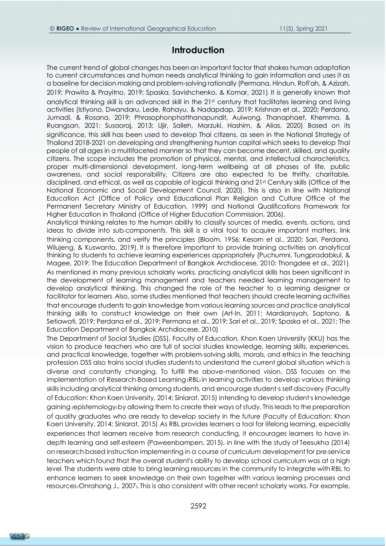## **Introduction**

The current trend of global changes has been an important factor that shakes human adaptation to current circumstances and human needs analytical thinking to gain information and uses it as a baseline for decision-making and problem-solving rationally (Permana, Hindun, Rofi'ah, & Azizah, 2019; Prawita & Prayitno, 2019; Spaska, Savishchenko, & Komar, 2021). It is generally known that analytical thinking skill is an advanced skill in the 21st century that facilitates learning and living activities (Istiyono, Dwandaru, Lede, Rahayu, & Nadapdap, 2019; Krishnan et al., 2020; Perdana, Jumadi, & Rosana, 2019; Phrasophonphatthanapundit, Auiwong, Thanaphaet, Khemma, & Ruangsan, 2021; Susaoraj, 2013; Ujir, Salleh, Marzuki, Hashim, & Alias, 2020). Based on its significance, this skill has been used to develop Thai citizens, as seen in the National Strategy of Thailand 2018-2021 on developing and strengthening human capital which seeks to develop Thai people of all ages in a multifaceted manner so that they can become decent, skilled, and quality citizens. The scope includes the promotion of physical, mental, and intellectual characteristics, proper multi-dimensional development, long-term wellbeing at all phases of life, public awareness, and social responsibility. Citizens are also expected to be thrifty, charitable, disciplined, and ethical, as well as capable of logical thinking and 21st Century skills (Office of the National Economic and Socail Development Council, 2020). This is also in line with National Education Act (Office of Policy and Educational Plan Religion and Culture Office of the Permanent Secretary Ministry of Education, 1999) and National Qualifications Framework for Higher Education in Thailand (Office of Higher Education Commission, 2006).

Analytical thinking relates to the human ability to classify sources of media, events, actions, and ideas to divide into sub-components. This skill is a vital tool to acquire important matters, link thinking components, and verify the principles (Bloom, 1956; Kesorn et al., 2020; Sari, Perdana, Wilujeng, & Kuswanto, 2019). It is therefore important to provide training activities on analytical thinking to students to achieve learning experiences appropriately (Puchumni, Tungpradabkul, & Magee, 2019; The Education Department of Bangkok Archdiocese, 2010; Thongdee et al., 2021). As mentioned in many previous scholarly works, practicing analytical skills has been significant in the development of learning management and teachers needed learning management to develop analytical thinking. This changed the role of the teacher to a learning designer or facilitator for learners. Also, some studies mentioned that teachers should create learning activities that encourage students to gain knowledge from various learning sources and practice analytical thinking skills to construct knowledge on their own (Art-In, 2011; Mardiansyah, Saptono, & Setiawati, 2019; Perdana et al., 2019; Permana et al., 2019; Sari et al., 2019; Spaska et al., 2021; The Education Department of Bangkok Archdiocese, 2010).

The Department of Social Studies (DSS), Faculty of Education, Khon Kaen University (KKU) has the vision to produce teachers who are full of social studies knowledge, learning skills, experiences, and practical knowledge, together with problem-solving skills, morals, and ethicsin the teaching profession. DSS also trains social studies studentsto understand the current global situation which is diverse and constantly changing. To fulfill the above-mentioned vision, DSS focuses on the implementation of Research-Based Learning (RBL) in learning activities to develop various thinking skills including analytical thinking among students, and encourage student's self-discovery (Faculty of Education: Khon Kaen University, 2014; Sinlarat, 2015) intending to develop student's knowledge gaining (epistemology) by allowing them to create their ways of study. This leads to the preparation of quality graduates who are ready to develop society in the future (Faculty of Education: Khon Kaen University, 2014; Sinlarat, 2015). As RBL provides learners a tool for lifelong learning, especially experiences that learners receive from research conducting, it encourages learners to have indepth learning and self-esteem (Paweenbampen, 2015), in line with the study of Teesukha (2014) on research-based instruction implementing in a course of curriculum development for pre-service teachers which found that the overall student's ability to develop school curriculum was at a high level. The students were able to bring learning resources in the community to integrate with RBL to enhance learners to seek knowledge on their own together with various learning processes and resources(Onrahong J., 2007). This is also consistent with other recent scholarly works. For example,

**RICE<sup>O</sup>**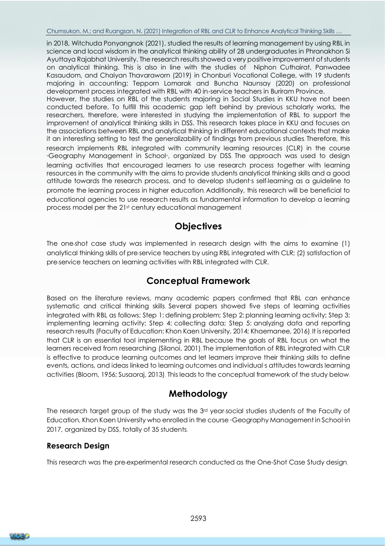in 2018, Witchuda Ponyangnok (2021), studied the results of learning management by using RBL in science and local wisdom in the analytical thinking ability of 28 undergraduates in Phranakhon Si Ayuttaya Rajabhat University. The research results showed a very positive improvement of students on analytical thinking. This is also in line with the studies of Niphon Cuthairat, Panwadee Kasaudom, and Chaiyan Thavaraworn (2019) in Chonburi Vocational College, with 19 students majoring in accounting; Tepporn Lomarak and Buncha Naunsay (2020) on professional development process integrated with RBL with 40 in-service teachers in Buriram Province. However, the studies on RBL of the students majoring in Social Studies in KKU have not been conducted before. To fulfill this academic gap left behind by previous scholarly works, the researchers, therefore, were interested in studying the implementation of RBL to support the improvement of analytical thinking skills in DSS. This research takes place in KKU and focuses on

the associations between RBL and analytical thinking in different educational contexts that make it an interesting setting to test the generalizability of findings from previous studies. Therefore, this research implements RBL integrated with community learning resources (CLR) in the course "Geography Management in School", organized by DSS. The approach was used to design learning activities that encouraged learners to use research process together with learning resources in the community with the aims to provide students analytical thinking skills and a good attitude towards the research process, and to develop student's self-learning as a guideline to promote the learning process in higher education. Additionally, this research will be beneficial to educational agencies to use research results as fundamental information to develop a learning process model per the 21st century educational management.

# **Objectives**

The one-shot case study was implemented in research design with the aims to examine (1) analytical thinking skills of pre-service teachers by using RBL integrated with CLR; (2) satisfaction of pre-service teachers on learning activities with RBL integrated with CLR.

# **Conceptual Framework**

Based on the literature reviews, many academic papers confirmed that RBL can enhance systematic and critical thinking skills. Several papers showed five steps of learning activities integrated with RBL as follows: Step 1: defining problem; Step 2: planning learning activity; Step 3: implementing learning activity; Step 4: collecting data; Step 5: analyzing data and reporting research results (Faculty of Education: Khon Kaen University, 2014; Khaemanee, 2016). It is reported that CLR is an essential tool implementing in RBL because the goals of RBL focus on what the learners received from researching (Silanoi, 2001). The implementation of RBL integrated with CLR is effective to produce learning outcomes and let learners improve their thinking skills to define events, actions, and ideas linked to learning outcomes and individual's attitudes towards learning activities (Bloom, 1956; Susaoraj, 2013). This leads to the conceptual framework of the study below:

# **Methodology**

The research target group of the study was the 3rd year-social studies students of the Faculty of Education, Khon Kaen University who enrolled in the course "Geography Management in School"in 2017, organized by DSS, totally of 35 students.

## **Research Design**

This research was the pre-experimental research conducted as the One-Shot Case Study design.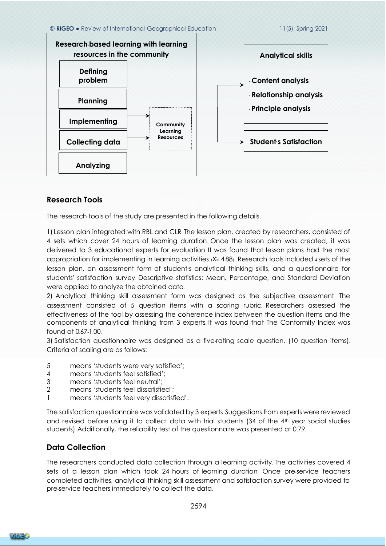

## **Research Tools**

The research tools of the study are presented in the following details.

1) Lesson plan integrated with RBL and CLR. The lesson plan, created by researchers, consisted of 4 sets which cover 24 hours of learning duration. Once the lesson plan was created, it was delivered to 3 educational experts for evaluation. It was found that lesson plans had the most appropriation for implementing in learning activities  $X = 4.88$ . Research tools included 4 sets of the lesson plan, an assessment form of student's analytical thinking skills, and a questionnaire for students' satisfaction survey. Descriptive statistics: Mean, Percentage, and Standard Deviation were applied to analyze the obtained data.

2) Analytical thinking skill assessment form was designed as the subjective assessment. The assessment consisted of 5 question items with a scoring rubric. Researchers assessed the effectiveness of the tool by assessing the coherence index between the question items and the components of analytical thinking from 3 experts. It was found that The Conformity Index was found at 0.67-1.00.

3) Satisfaction questionnaire was designed as a five-rating scale question, (10 question items). Criteria of scaling are as follows:

- 5 means 'students were very satisfied';
- 4 means 'students feel satisfied';
- 3 means 'students feel neutral';
- 2 means 'students feel dissatisfied';
- 1 means 'students feel very dissatisfied'.

The satisfaction questionnaire was validated by 3 experts. Suggestions from experts were reviewed and revised before using it to collect data with trial students (34 of the 4th year social studies students). Additionally, the reliability test of the questionnaire was presented at 0.79.

## **Data Collection**

The researchers conducted data collection through a learning activity. The activities covered 4 sets of a lesson plan which took 24 hours of learning duration. Once pre-service teachers completed activities, analytical thinking skill assessment and satisfaction survey were provided to pre-service teachers immediately to collect the data.

2594

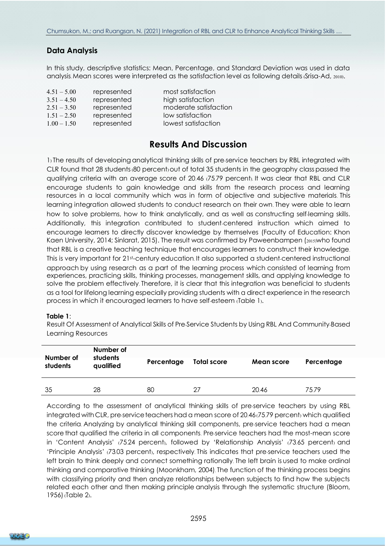## **Data Analysis**

In this study, descriptive statistics: Mean, Percentage, and Standard Deviation was used in data analysis. Mean scores were interpreted as the satisfaction level as following details (Srisa-Ad, 2010).

|             | most satisfaction     |
|-------------|-----------------------|
| represented | high satisfaction     |
| represented | moderate satisfaction |
| represented | low satisfaction      |
| represented | lowest satisfaction   |
|             | represented           |

## **Results And Discussion**

1) The results of developing analytical thinking skills of pre-service teachers by RBL integrated with CLR found that 28 students(80 percent) out of total 35 students in the geography classpassed the qualifying criteria with an average score of 20.46 (75.79 percent). It was clear that RBL and CLR encourage students to gain knowledge and skills from the research process and learning resources in a local community which was in form of objective and subjective materials. This learning integration allowed students to conduct research on their own. They were able to learn how to solve problems, how to think analytically, and as well as constructing self-learning skills. Additionally, this integration contributed to student-centered instruction which aimed to encourage learners to directly discover knowledge by themselves (Faculty of Education: Khon Kaen University, 2014; Sinlarat, 2015). The result was confirmed by Paweenbampen (2015)who found that RBL is a creative teaching technique that encourages learners to construct their knowledge. This is very important for 21st-century education. It also supported a student-centered instructional approach by using research as a part of the learning process which consisted of learning from experiences, practicing skills, thinking processes, management skills, and applying knowledge to solve the problem effectively. Therefore, it is clear that this integration was beneficial to students as a tool for lifelong learning especially providing students with a direct experience in the research process in which it encouraged learners to have self-esteem (Table 1).

#### **Table 1**:

Result Of Assessment of Analytical Skills of Pre-Service Students by Using RBL And Community-Based Learning Resources

| Number of<br>students | Number of<br>students<br>qualified | Percentage | Total score | Mean score | Percentage |
|-----------------------|------------------------------------|------------|-------------|------------|------------|
| 35                    | 28                                 | 80         | 27          | 20.46      | 7579       |

According to the assessment of analytical thinking skills of pre-service teachers by using RBL integrated with CLR, pre-service teachers had a mean score of  $20.46(75.79$  percent) which qualified the criteria. Analyzing by analytical thinking skill components, pre-service teachers had a mean score that qualified the criteria in all components. Pre-service teachers had the most-mean score in 'Content Analysis' (75.24 percent), followed by 'Relationship Analysis' (73.65 percent) and 'Principle Analysis' (73.03 percent), respectively. This indicates that pre-service teachers used the left brain to think deeply and connect something rationally. The left brain is used to make ordinal thinking and comparative thinking (Moonkham, 2004). The function of the thinking process begins with classifying priority and then analyze relationships between subjects to find how the subjects related each other and then making principle analysis through the systematic structure (Bloom, 1956) (Table 2).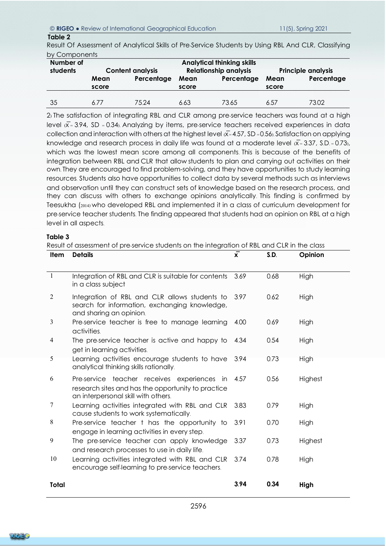#### © **RIGEO** ● Review of International Geographical Education 11(5), Spring 2021

#### **Table 2**

Result Of Assessment of Analytical Skills of Pre-Service Students by Using RBL And CLR, Classifying by Components

| Number of<br>students | $\mathbf{v}$ , $\mathbf{v}$ , $\mathbf{v}$ , $\mathbf{v}$<br><b>Content analysis</b> |            | <b>Analytical thinking skills</b><br><b>Relationship analysis</b> |            | <b>Principle analysis</b> |            |
|-----------------------|--------------------------------------------------------------------------------------|------------|-------------------------------------------------------------------|------------|---------------------------|------------|
|                       | Mean<br>score                                                                        | Percentage | Mean<br>score                                                     | Percentage | Mean<br>score             | Percentage |
| 35                    | 6 7 7                                                                                | 75 24      | 6.63                                                              | 73.65      | 6.57                      | 73.02      |

2) The satisfaction of integrating RBL and CLR among pre-service teachers was found at a high level  $x = 3.94$ , SD = 0.34). Analyzing by items, pre-service teachers received experiences in data collection and interaction with others at the highest level  $\bar{x}$ = 4.57, SD = 0.56). Satisfaction on applying knowledge and research process in daily life was found at a moderate level  $\overline{X}$ = 3.37, S.D. = 0.73), which was the lowest mean score among all components. This is because of the benefits of integration between RBL and CLR that allow students to plan and carrying out activities on their own. They are encouraged to find problem-solving, and they have opportunities to study learning resources. Students also have opportunities to collect data by several methods such as interviews and observation until they can construct sets of knowledge based on the research process, and they can discuss with others to exchange opinions analytically. This finding is confirmed by Teesukha (2014) who developed RBL and implemented it in a class of curriculum development for pre-service teacher students. The finding appeared that students had an opinion on RBL at a high level in all aspects.

#### **Table 3**

Result of assessment of pre-service students on the integration of RBL and CLR in the class

| Item           | <b>Details</b>                                                                                                                           | $\mathbf{x}$ | S.D. | Opinion |
|----------------|------------------------------------------------------------------------------------------------------------------------------------------|--------------|------|---------|
|                |                                                                                                                                          |              |      |         |
| $\mathbf{1}$   | Integration of RBL and CLR is suitable for contents<br>in a class subject                                                                | 3.69         | 0.68 | High    |
| $\overline{2}$ | Integration of RBL and CLR allows students to<br>search for information, exchanging knowledge,<br>and sharing an opinion.                | 3.97         | 0.62 | High    |
| 3              | Pre-service teacher is free to manage learning<br>activities.                                                                            | 4.00         | 0.69 | High    |
| 4              | The pre-service teacher is active and happy to<br>get in learning activities.                                                            | 4.34         | 0.54 | High    |
| 5              | Learning activities encourage students to have<br>analytical thinking skills rationally.                                                 | -3.94        | 0.73 | High    |
| 6              | Pre-service teacher receives experiences in<br>research sites and has the opportunity to practice<br>an interpersonal skill with others. | 4.57         | 0.56 | Highest |
| 7              | Learning activities integrated with RBL and CLR<br>cause students to work systematically.                                                | 3.83         | 0.79 | High    |
| 8              | Pre-service teacher t has the opportunity to<br>engage in learning activities in every step.                                             | 3.91         | 0.70 | High    |
| 9              | The pre-service teacher can apply knowledge<br>and research processes to use in daily life.                                              | 3.37         | 0.73 | Highest |
| 10             | Learning activities integrated with RBL and CLR<br>encourage self-learning to pre-service teachers.                                      | 3.74         | 0.78 | High    |
| Total          |                                                                                                                                          | 3.94         | 0.34 | High    |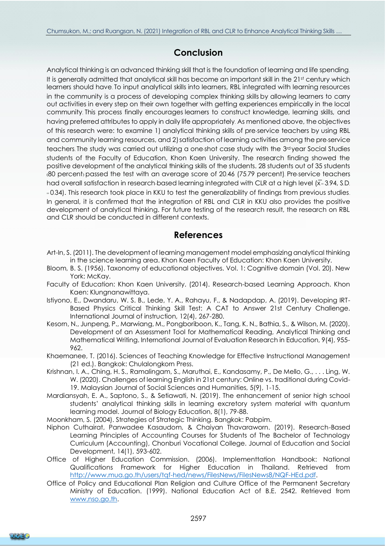# **Conclusion**

Analytical thinking is an advanced thinking skill that is the foundation of learning and life spending. It is generally admitted that analytical skill has become an important skill in the 21st century which learners should have. To input analytical skills into learners, RBL integrated with learning resources in the community is a process of developing complex thinking skills by allowing learners to carry out activities in every step on their own together with getting experiences empirically in the local community. This process finally encourages learners to construct knowledge, learning skills, and having preferred attributes to apply in daily life appropriately. As mentioned above, the objectives of this research were: to examine 1) analytical thinking skills of pre-service teachers by using RBL and community learning resources, and 2) satisfaction of learning activities among the pre-service teachers. The study was carried out utilizing a one-shot case study with the 3rd year Social Studies students of the Faculty of Education, Khon Kaen University. The research finding showed the positive development ofthe analytical thinking skills of the students. 28 students out of 35 students (80 percent) passed the test with an average score of 20.46 (75.79 percent). Pre-service teachers had overall satisfaction in research-based learning integrated with CLR at a high level  $(\bar{x} = 3.94, S.D)$ . = 0.34). This research took place in KKU to test the generalizability of findings from previous studies. In general, it is confirmed that the integration of RBL and CLR in KKU also provides the positive development of analytical thinking. For future testing of the research result, the research on RBL and CLR should be conducted in different contexts.

# **References**

- Art-In, S. (2011). The development of learning management model emphasizing analytical thinking in the science learning area. Khon Kaen Faculty of Education: Khon Kaen University.
- Bloom, B. S. (1956). Taxonomy of educational objectives. Vol. 1: Cognitive domain (Vol. 20). New York: McKay.
- Faculty of Education: Khon Kaen University. (2014). Research-based Learning Approach. Khon Kaen: Klungnanawittaya.
- Istiyono, E., Dwandaru, W. S. B., Lede, Y. A., Rahayu, F., & Nadapdap, A. (2019). Developing IRT-Based Physics Critical Thinking Skill Test: A CAT to Answer 21st Century Challenge. International Journal of instruction, 12(4), 267-280.
- Kesorn, N., Junpeng, P., Marwiang, M., Pongboriboon, K., Tang, K. N., Bathia, S., & Wilson, M. (2020). Development of an Assessment Tool for Mathematical Reading, Analytical Thinking and Mathematical Writing. International Journal of Evaluation Research in Education, 9(4), 955-  $962$
- Khaemanee, T. (2016). Sciences of Teaching Knowledge for Effective Instructional Management (21 ed.). Bangkok: Chulalongkorn Press.
- Krishnan, I. A., Ching, H. S., Ramalingam, S., Maruthai, E., Kandasamy, P., De Mello, G., . . . Ling, W. W. (2020). Challenges of learning English in 21st century: Online vs. traditional during Covid-19. Malaysian Journal of Social Sciences and Humanities, 5(9), 1-15.
- Mardiansyah, E. A., Saptono, S., & Setiawati, N. (2019). The enhancement of senior high school students' analytical thinking skills in learning excretory system material with quantum learning model. Journal of Biology Education, 8(1), 79-88.

Moonkham, S. (2004). Strategies of Strategic Thinking. Bangkok: Pabpim.

- Niphon Cuthairat, Panwadee Kasaudom, & Chaiyan Thavaraworn. (2019). Research-Based Learning Principles of Accounting Courses for Students of The Bachelor of Technology Curriculum (Accounting), Chonburi Vocational College. Journal of Education and Social Development, 14(1), 593-602.
- Office of Higher Education Commission. (2006). Implementtation Handbook: National Qualifications Framework for Higher Education in Thailand. Retrieved from [http://www.mua.go.th/users/tqf-hed/news/FilesNews/FilesNews8/NQF-HEd.pdf.](http://www.mua.go.th/users/tqf-hed/news/FilesNews/FilesNews8/NQF-HEd.pdf)
- Office of Policy and Educational Plan Religion and Culture Office of the Permanent Secretary Ministry of Education. (1999). National Education Act of B.E. 2542. Retrieved from [www.nso.go.th.](file:///C:/Users/Zubair/Desktop/www.nso.go.th)